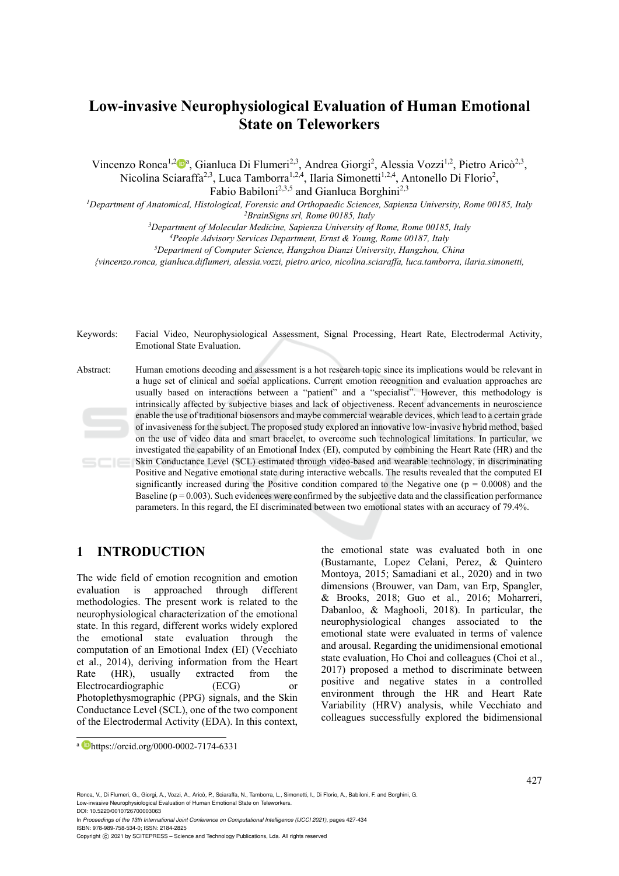# **Low-invasive Neurophysiological Evaluation of Human Emotional State on Teleworkers**

Vincenzo Ronca<sup>1,2</sup><sup>0</sup><sup>a</sup>, Gianluca Di Flumeri<sup>2,3</sup>, Andrea Giorgi<sup>2</sup>, Alessia Vozzi<sup>1,2</sup>, Pietro Aricò<sup>2,3</sup>, Nicolina Sciaraffa<sup>2,3</sup>, Luca Tamborra<sup>1,2,4</sup>, Ilaria Simonetti<sup>1,2,4</sup>, Antonello Di Florio<sup>2</sup>,

Fabio Babiloni<sup>2,3,5</sup> and Gianluca Borghini<sup>2,3</sup>

<sup>1</sup>Department of Anatomical, Histological, Forensic and Orthopaedic Sciences, Sapienza University, Rome 00185, Italy<br><sup>2</sup>BrainSigns srl, Rome 00185, Italy<br><sup>3</sup>Department of Molecular Medicine, Sapienza University of Rome, R

*{vincenzo.ronca, gianluca.diflumeri, alessia.vozzi, pietro.arico, nicolina.sciaraffa, luca.tamborra, ilaria.simonetti,* 

Keywords: Facial Video, Neurophysiological Assessment, Signal Processing, Heart Rate, Electrodermal Activity, Emotional State Evaluation.

Abstract: Human emotions decoding and assessment is a hot research topic since its implications would be relevant in a huge set of clinical and social applications. Current emotion recognition and evaluation approaches are usually based on interactions between a "patient" and a "specialist". However, this methodology is intrinsically affected by subjective biases and lack of objectiveness. Recent advancements in neuroscience enable the use of traditional biosensors and maybe commercial wearable devices, which lead to a certain grade of invasiveness for the subject. The proposed study explored an innovative low-invasive hybrid method, based on the use of video data and smart bracelet, to overcome such technological limitations. In particular, we investigated the capability of an Emotional Index (EI), computed by combining the Heart Rate (HR) and the Skin Conductance Level (SCL) estimated through video-based and wearable technology, in discriminating  $SCIE$ Positive and Negative emotional state during interactive webcalls. The results revealed that the computed EI significantly increased during the Positive condition compared to the Negative one ( $p = 0.0008$ ) and the Baseline ( $p = 0.003$ ). Such evidences were confirmed by the subjective data and the classification performance parameters. In this regard, the EI discriminated between two emotional states with an accuracy of 79.4%.

# **1 INTRODUCTION**

The wide field of emotion recognition and emotion evaluation is approached through different methodologies. The present work is related to the neurophysiological characterization of the emotional state. In this regard, different works widely explored the emotional state evaluation through the computation of an Emotional Index (EI) (Vecchiato et al., 2014), deriving information from the Heart Rate (HR), usually extracted from the Electrocardiographic (ECG) or Photoplethysmographic (PPG) signals, and the Skin Conductance Level (SCL), one of the two component of the Electrodermal Activity (EDA). In this context,

the emotional state was evaluated both in one (Bustamante, Lopez Celani, Perez, & Quintero Montoya, 2015; Samadiani et al., 2020) and in two dimensions (Brouwer, van Dam, van Erp, Spangler, & Brooks, 2018; Guo et al., 2016; Moharreri, Dabanloo, & Maghooli, 2018). In particular, the neurophysiological changes associated to the emotional state were evaluated in terms of valence and arousal. Regarding the unidimensional emotional state evaluation, Ho Choi and colleagues (Choi et al., 2017) proposed a method to discriminate between positive and negative states in a controlled environment through the HR and Heart Rate Variability (HRV) analysis, while Vecchiato and colleagues successfully explored the bidimensional

a Dhttps://orcid.org/0000-0002-7174-6331

Ronca, V., Di Flumeri, G., Giorgi, A., Vozzi, A., Aricò, P., Sciaraffa, N., Tamborra, L., Simonetti, I., Di Florio, A., Babiloni, F. and Borghini, G. Low-invasive Neurophysiological Evaluation of Human Emotional State on Teleworkers.

DOI: 10.5220/0010726700003063

In *Proceedings of the 13th International Joint Conference on Computational Intelligence (IJCCI 2021)*, pages 427-434 ISBN: 978-989-758-534-0; ISSN: 2184-2825

Copyright © 2021 by SCITEPRESS - Science and Technology Publications, Lda. All rights reserved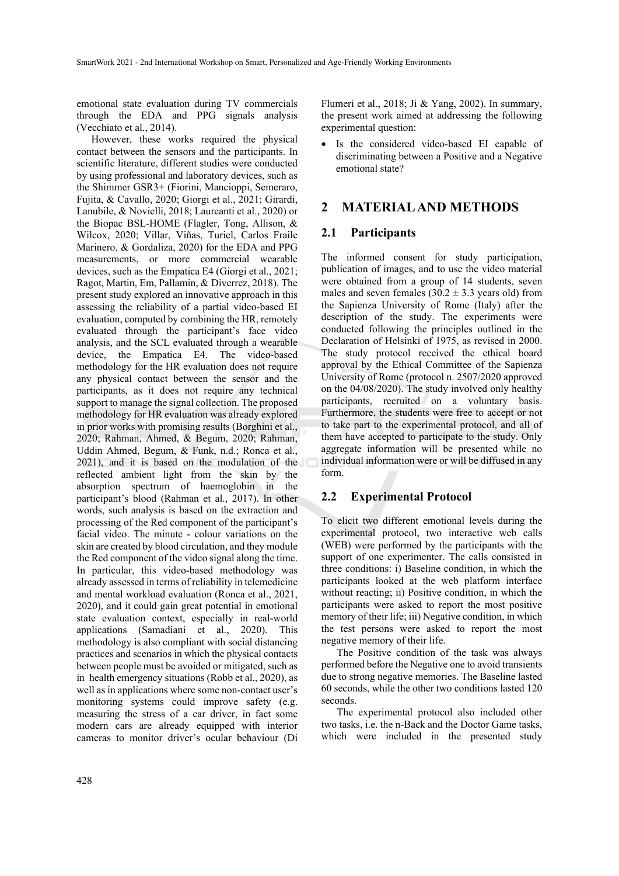emotional state evaluation during TV commercials through the EDA and PPG signals analysis (Vecchiato et al., 2014).

However, these works required the physical contact between the sensors and the participants. In scientific literature, different studies were conducted by using professional and laboratory devices, such as the Shimmer GSR3+ (Fiorini, Mancioppi, Semeraro, Fujita, & Cavallo, 2020; Giorgi et al., 2021; Girardi, Lanubile, & Novielli, 2018; Laureanti et al., 2020) or the Biopac BSL-HOME (Flagler, Tong, Allison, & Wilcox, 2020; Villar, Viñas, Turiel, Carlos Fraile Marinero, & Gordaliza, 2020) for the EDA and PPG measurements, or more commercial wearable devices, such as the Empatica E4 (Giorgi et al., 2021; Ragot, Martin, Em, Pallamin, & Diverrez, 2018). The present study explored an innovative approach in this assessing the reliability of a partial video-based EI evaluation, computed by combining the HR, remotely evaluated through the participant's face video analysis, and the SCL evaluated through a wearable device, the Empatica E4. The video-based methodology for the HR evaluation does not require any physical contact between the sensor and the participants, as it does not require any technical support to manage the signal collection. The proposed methodology for HR evaluation was already explored in prior works with promising results (Borghini et al., 2020; Rahman, Ahmed, & Begum, 2020; Rahman, Uddin Ahmed, Begum, & Funk, n.d.; Ronca et al., 2021), and it is based on the modulation of the reflected ambient light from the skin by the absorption spectrum of haemoglobin in the participant's blood (Rahman et al., 2017). In other words, such analysis is based on the extraction and processing of the Red component of the participant's facial video. The minute - colour variations on the skin are created by blood circulation, and they module the Red component of the video signal along the time. In particular, this video-based methodology was already assessed in terms of reliability in telemedicine and mental workload evaluation (Ronca et al., 2021, 2020), and it could gain great potential in emotional state evaluation context, especially in real-world applications (Samadiani et al., 2020). This methodology is also compliant with social distancing practices and scenarios in which the physical contacts between people must be avoided or mitigated, such as in health emergency situations (Robb et al., 2020), as well as in applications where some non-contact user's monitoring systems could improve safety (e.g. measuring the stress of a car driver, in fact some modern cars are already equipped with interior cameras to monitor driver's ocular behaviour (Di

Flumeri et al., 2018; Ji & Yang, 2002). In summary, the present work aimed at addressing the following experimental question:

• Is the considered video-based EI capable of discriminating between a Positive and a Negative emotional state?

## **2 MATERIAL AND METHODS**

#### **2.1 Participants**

The informed consent for study participation, publication of images, and to use the video material were obtained from a group of 14 students, seven males and seven females  $(30.2 \pm 3.3)$  years old) from the Sapienza University of Rome (Italy) after the description of the study. The experiments were conducted following the principles outlined in the Declaration of Helsinki of 1975, as revised in 2000. The study protocol received the ethical board approval by the Ethical Committee of the Sapienza University of Rome (protocol n. 2507/2020 approved on the 04/08/2020). The study involved only healthy participants, recruited on a voluntary basis. Furthermore, the students were free to accept or not to take part to the experimental protocol, and all of them have accepted to participate to the study. Only aggregate information will be presented while no individual information were or will be diffused in any form.

# **2.2 Experimental Protocol**

To elicit two different emotional levels during the experimental protocol, two interactive web calls (WEB) were performed by the participants with the support of one experimenter. The calls consisted in three conditions: i) Baseline condition, in which the participants looked at the web platform interface without reacting; ii) Positive condition, in which the participants were asked to report the most positive memory of their life; iii) Negative condition, in which the test persons were asked to report the most negative memory of their life.

The Positive condition of the task was always performed before the Negative one to avoid transients due to strong negative memories. The Baseline lasted 60 seconds, while the other two conditions lasted 120 seconds.

The experimental protocol also included other two tasks, i.e. the n-Back and the Doctor Game tasks, which were included in the presented study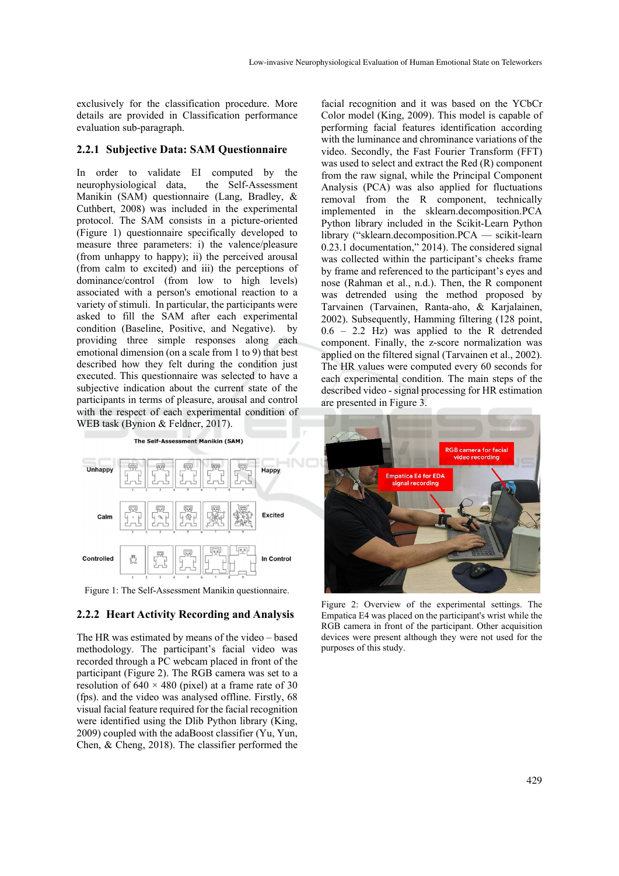exclusively for the classification procedure. More details are provided in Classification performance evaluation sub-paragraph.

#### **2.2.1 Subjective Data: SAM Questionnaire**

In order to validate EI computed by the neurophysiological data, the Self-Assessment Manikin (SAM) questionnaire (Lang, Bradley, & Cuthbert, 2008) was included in the experimental protocol. The SAM consists in a picture-oriented (Figure 1) questionnaire specifically developed to measure three parameters: i) the valence/pleasure (from unhappy to happy); ii) the perceived arousal (from calm to excited) and iii) the perceptions of dominance/control (from low to high levels) associated with a person's emotional reaction to a variety of stimuli. In particular, the participants were asked to fill the SAM after each experimental condition (Baseline, Positive, and Negative). by providing three simple responses along each emotional dimension (on a scale from 1 to 9) that best described how they felt during the condition just executed. This questionnaire was selected to have a subjective indication about the current state of the participants in terms of pleasure, arousal and control with the respect of each experimental condition of WEB task (Bynion & Feldner, 2017).

The Self-Assessment Manikin (SAM)



Figure 1: The Self-Assessment Manikin questionnaire.

#### **2.2.2 Heart Activity Recording and Analysis**

The HR was estimated by means of the video – based methodology. The participant's facial video was recorded through a PC webcam placed in front of the participant (Figure 2). The RGB camera was set to a resolution of  $640 \times 480$  (pixel) at a frame rate of 30 (fps). and the video was analysed offline. Firstly, 68 visual facial feature required for the facial recognition were identified using the Dlib Python library (King, 2009) coupled with the adaBoost classifier (Yu, Yun, Chen, & Cheng, 2018). The classifier performed the

facial recognition and it was based on the YCbCr Color model (King, 2009). This model is capable of performing facial features identification according with the luminance and chrominance variations of the video. Secondly, the Fast Fourier Transform (FFT) was used to select and extract the Red (R) component from the raw signal, while the Principal Component Analysis (PCA) was also applied for fluctuations removal from the R component, technically implemented in the sklearn.decomposition.PCA Python library included in the Scikit-Learn Python library ("sklearn.decomposition.PCA — scikit-learn 0.23.1 documentation," 2014). The considered signal was collected within the participant's cheeks frame by frame and referenced to the participant's eyes and nose (Rahman et al., n.d.). Then, the R component was detrended using the method proposed by Tarvainen (Tarvainen, Ranta-aho, & Karjalainen, 2002). Subsequently, Hamming filtering (128 point, 0.6 – 2.2 Hz) was applied to the R detrended component. Finally, the z-score normalization was applied on the filtered signal (Tarvainen et al., 2002). The HR values were computed every 60 seconds for each experimental condition. The main steps of the described video - signal processing for HR estimation are presented in Figure 3.



Figure 2: Overview of the experimental settings. The Empatica E4 was placed on the participant's wrist while the RGB camera in front of the participant. Other acquisition devices were present although they were not used for the purposes of this study.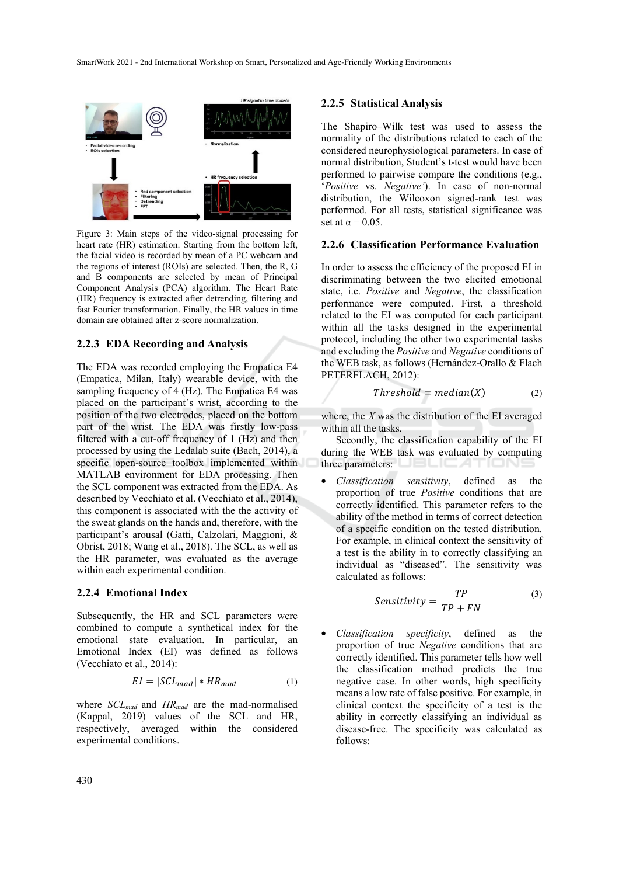

Figure 3: Main steps of the video-signal processing for heart rate (HR) estimation. Starting from the bottom left, the facial video is recorded by mean of a PC webcam and the regions of interest (ROIs) are selected. Then, the R, G and B components are selected by mean of Principal Component Analysis (PCA) algorithm. The Heart Rate (HR) frequency is extracted after detrending, filtering and fast Fourier transformation. Finally, the HR values in time domain are obtained after z-score normalization.

#### **2.2.3 EDA Recording and Analysis**

The EDA was recorded employing the Empatica E4 (Empatica, Milan, Italy) wearable device, with the sampling frequency of 4 (Hz). The Empatica E4 was placed on the participant's wrist, according to the position of the two electrodes, placed on the bottom part of the wrist. The EDA was firstly low-pass filtered with a cut-off frequency of 1 (Hz) and then processed by using the Ledalab suite (Bach, 2014), a specific open-source toolbox implemented within MATLAB environment for EDA processing. Then the SCL component was extracted from the EDA. As described by Vecchiato et al. (Vecchiato et al., 2014), this component is associated with the the activity of the sweat glands on the hands and, therefore, with the participant's arousal (Gatti, Calzolari, Maggioni, & Obrist, 2018; Wang et al., 2018). The SCL, as well as the HR parameter, was evaluated as the average within each experimental condition.

#### **2.2.4 Emotional Index**

Subsequently, the HR and SCL parameters were combined to compute a synthetical index for the emotional state evaluation. In particular, an Emotional Index (EI) was defined as follows (Vecchiato et al., 2014):

$$
EI = |SCL_{mad}| * HR_{mad}
$$
 (1)

where *SCLmad* and *HRmad* are the mad-normalised (Kappal, 2019) values of the SCL and HR, respectively, averaged within the considered experimental conditions.

#### **2.2.5 Statistical Analysis**

The Shapiro–Wilk test was used to assess the normality of the distributions related to each of the considered neurophysiological parameters. In case of normal distribution, Student's t-test would have been performed to pairwise compare the conditions (e.g., '*Positive* vs. *Negative'*). In case of non-normal distribution, the Wilcoxon signed-rank test was performed. For all tests, statistical significance was set at  $\alpha = 0.05$ .

#### **2.2.6 Classification Performance Evaluation**

In order to assess the efficiency of the proposed EI in discriminating between the two elicited emotional state, i.e. *Positive* and *Negative*, the classification performance were computed. First, a threshold related to the EI was computed for each participant within all the tasks designed in the experimental protocol, including the other two experimental tasks and excluding the *Positive* and *Negative* conditions of the WEB task, as follows (Hernández-Orallo & Flach PETERFLACH, 2012):

$$
Threshold = median(X)
$$
 (2)

where, the *X* was the distribution of the EI averaged within all the tasks.

Secondly, the classification capability of the EI during the WEB task was evaluated by computing three parameters:  $\Box$ 

• *Classification sensitivity*, defined as the proportion of true *Positive* conditions that are correctly identified. This parameter refers to the ability of the method in terms of correct detection of a specific condition on the tested distribution. For example, in clinical context the sensitivity of a test is the ability in to correctly classifying an individual as "diseased". The sensitivity was calculated as follows:

$$
Sensitivity = \frac{TP}{TP + FN}
$$
 (3)

• *Classification specificity*, defined as the proportion of true *Negative* conditions that are correctly identified. This parameter tells how well the classification method predicts the true negative case. In other words, high specificity means a low rate of false positive. For example, in clinical context the specificity of a test is the ability in correctly classifying an individual as disease-free. The specificity was calculated as follows: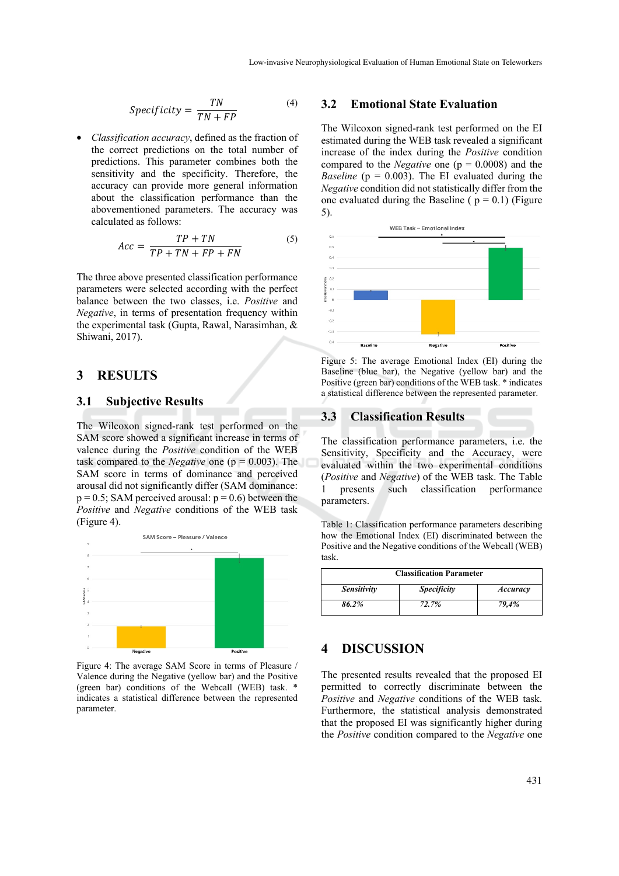$$
Specificity = \frac{TN}{TN + FP}
$$
 (4)

• *Classification accuracy*, defined as the fraction of the correct predictions on the total number of predictions. This parameter combines both the sensitivity and the specificity. Therefore, the accuracy can provide more general information about the classification performance than the abovementioned parameters. The accuracy was calculated as follows:

$$
Acc = \frac{TP + TN}{TP + TN + FP + FN}
$$
 (5)

The three above presented classification performance parameters were selected according with the perfect balance between the two classes, i.e. *Positive* and *Negative*, in terms of presentation frequency within the experimental task (Gupta, Rawal, Narasimhan, & Shiwani, 2017).

# **3 RESULTS**

#### **3.1 Subjective Results**

The Wilcoxon signed-rank test performed on the SAM score showed a significant increase in terms of valence during the *Positive* condition of the WEB task compared to the *Negative* one (p = 0.003). The SAM score in terms of dominance and perceived arousal did not significantly differ (SAM dominance:  $p = 0.5$ ; SAM perceived arousal:  $p = 0.6$ ) between the *Positive* and *Negative* conditions of the WEB task (Figure 4).



Figure 4: The average SAM Score in terms of Pleasure / Valence during the Negative (yellow bar) and the Positive (green bar) conditions of the Webcall (WEB) task. \* indicates a statistical difference between the represented parameter.

#### **3.2 Emotional State Evaluation**

The Wilcoxon signed-rank test performed on the EI estimated during the WEB task revealed a significant increase of the index during the *Positive* condition compared to the *Negative* one (p = 0.0008) and the *Baseline* ( $p = 0.003$ ). The EI evaluated during the *Negative* condition did not statistically differ from the one evaluated during the Baseline ( $p = 0.1$ ) (Figure 5).



Figure 5: The average Emotional Index (EI) during the Baseline (blue bar), the Negative (yellow bar) and the Positive (green bar) conditions of the WEB task. \* indicates a statistical difference between the represented parameter.

# **3.3 Classification Results**

The classification performance parameters, i.e. the Sensitivity, Specificity and the Accuracy, were evaluated within the two experimental conditions (*Positive* and *Negative*) of the WEB task. The Table 1 presents such classification performance parameters.

Table 1: Classification performance parameters describing how the Emotional Index (EI) discriminated between the Positive and the Negative conditions of the Webcall (WEB) task.

| <b>Classification Parameter</b> |                    |          |
|---------------------------------|--------------------|----------|
| <b>Sensitivity</b>              | <b>Specificity</b> | Accuracy |
| 86.2%                           | 72.7%              | 79.4%    |

# **4 DISCUSSION**

The presented results revealed that the proposed EI permitted to correctly discriminate between the *Positive* and *Negative* conditions of the WEB task. Furthermore, the statistical analysis demonstrated that the proposed EI was significantly higher during the *Positive* condition compared to the *Negative* one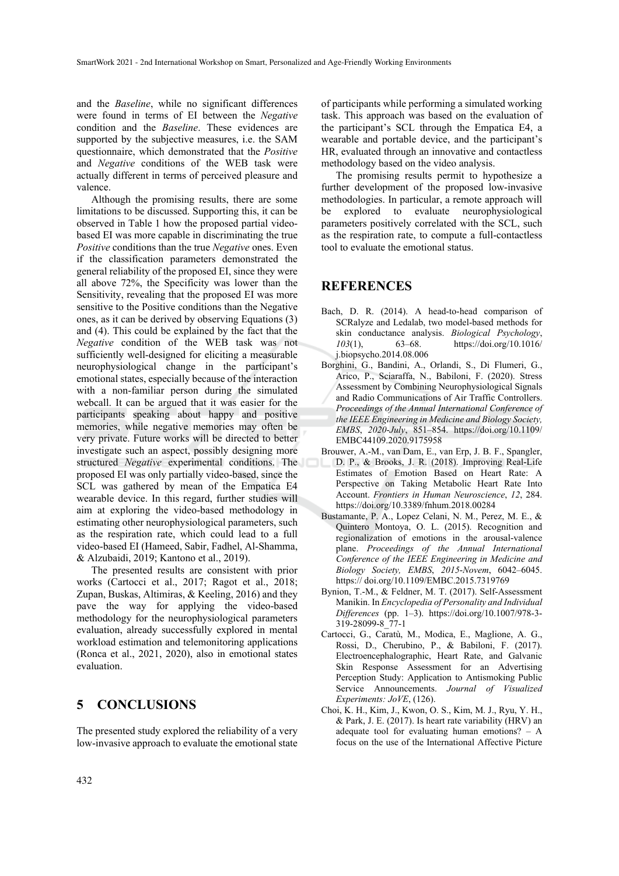and the *Baseline*, while no significant differences were found in terms of EI between the *Negative* condition and the *Baseline*. These evidences are supported by the subjective measures, i.e. the SAM questionnaire, which demonstrated that the *Positive* and *Negative* conditions of the WEB task were actually different in terms of perceived pleasure and valence.

Although the promising results, there are some limitations to be discussed. Supporting this, it can be observed in Table 1 how the proposed partial videobased EI was more capable in discriminating the true *Positive* conditions than the true *Negative* ones. Even if the classification parameters demonstrated the general reliability of the proposed EI, since they were all above 72%, the Specificity was lower than the Sensitivity, revealing that the proposed EI was more sensitive to the Positive conditions than the Negative ones, as it can be derived by observing Equations (3) and (4). This could be explained by the fact that the *Negative* condition of the WEB task was not sufficiently well-designed for eliciting a measurable neurophysiological change in the participant's emotional states, especially because of the interaction with a non-familiar person during the simulated webcall. It can be argued that it was easier for the participants speaking about happy and positive memories, while negative memories may often be very private. Future works will be directed to better investigate such an aspect, possibly designing more structured *Negative* experimental conditions. The proposed EI was only partially video-based, since the SCL was gathered by mean of the Empatica E4 wearable device. In this regard, further studies will aim at exploring the video-based methodology in estimating other neurophysiological parameters, such as the respiration rate, which could lead to a full video-based EI (Hameed, Sabir, Fadhel, Al-Shamma, & Alzubaidi, 2019; Kantono et al., 2019).

The presented results are consistent with prior works (Cartocci et al., 2017; Ragot et al., 2018; Zupan, Buskas, Altimiras, & Keeling, 2016) and they pave the way for applying the video-based methodology for the neurophysiological parameters evaluation, already successfully explored in mental workload estimation and telemonitoring applications (Ronca et al., 2021, 2020), also in emotional states evaluation.

# **5 CONCLUSIONS**

The presented study explored the reliability of a very low-invasive approach to evaluate the emotional state of participants while performing a simulated working task. This approach was based on the evaluation of the participant's SCL through the Empatica E4, a wearable and portable device, and the participant's HR, evaluated through an innovative and contactless methodology based on the video analysis.

The promising results permit to hypothesize a further development of the proposed low-invasive methodologies. In particular, a remote approach will be explored to evaluate neurophysiological parameters positively correlated with the SCL, such as the respiration rate, to compute a full-contactless tool to evaluate the emotional status.

### **REFERENCES**

- Bach, D. R. (2014). A head-to-head comparison of SCRalyze and Ledalab, two model-based methods for skin conductance analysis. *Biological Psychology*, *103*(1), 63–68. https://doi.org/10.1016/ j.biopsycho.2014.08.006
- Borghini, G., Bandini, A., Orlandi, S., Di Flumeri, G., Arico, P., Sciaraffa, N., Babiloni, F. (2020). Stress Assessment by Combining Neurophysiological Signals and Radio Communications of Air Traffic Controllers. *Proceedings of the Annual International Conference of the IEEE Engineering in Medicine and Biology Society, EMBS*, *2020*-*July*, 851–854. https://doi.org/10.1109/ EMBC44109.2020.9175958
- Brouwer, A.-M., van Dam, E., van Erp, J. B. F., Spangler, D. P., & Brooks, J. R. (2018). Improving Real-Life Estimates of Emotion Based on Heart Rate: A Perspective on Taking Metabolic Heart Rate Into Account. *Frontiers in Human Neuroscience*, *12*, 284. https://doi.org/10.3389/fnhum.2018.00284
- Bustamante, P. A., Lopez Celani, N. M., Perez, M. E., & Quintero Montoya, O. L. (2015). Recognition and regionalization of emotions in the arousal-valence plane. *Proceedings of the Annual International Conference of the IEEE Engineering in Medicine and Biology Society, EMBS*, *2015*-*Novem*, 6042–6045. https:// doi.org/10.1109/EMBC.2015.7319769
- Bynion, T.-M., & Feldner, M. T. (2017). Self-Assessment Manikin. In *Encyclopedia of Personality and Individual Differences* (pp. 1–3). https://doi.org/10.1007/978-3- 319-28099-8\_77-1
- Cartocci, G., Caratù, M., Modica, E., Maglione, A. G., Rossi, D., Cherubino, P., & Babiloni, F. (2017). Electroencephalographic, Heart Rate, and Galvanic Skin Response Assessment for an Advertising Perception Study: Application to Antismoking Public Service Announcements. *Journal of Visualized Experiments: JoVE*, (126).
- Choi, K. H., Kim, J., Kwon, O. S., Kim, M. J., Ryu, Y. H., & Park, J. E. (2017). Is heart rate variability (HRV) an adequate tool for evaluating human emotions? – A focus on the use of the International Affective Picture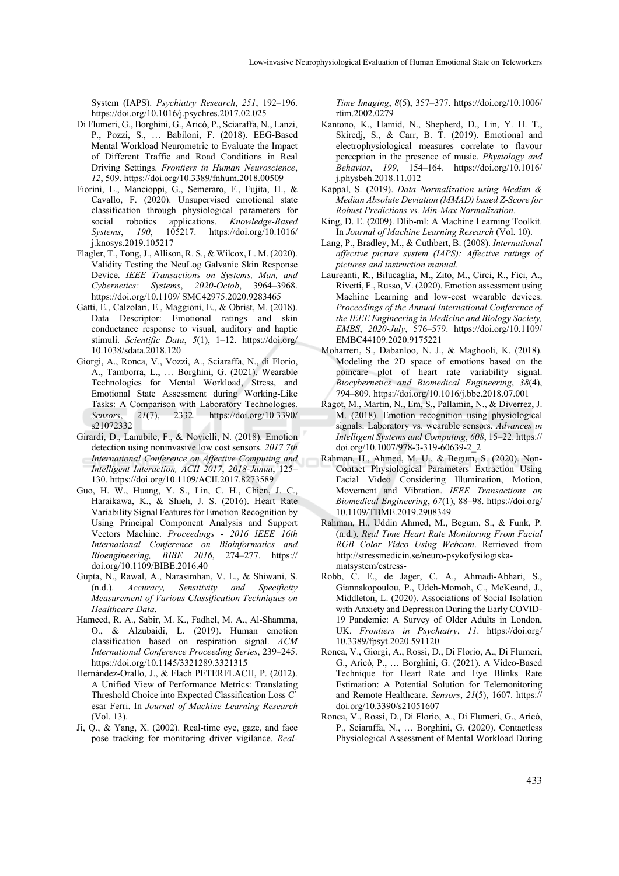System (IAPS). *Psychiatry Research*, *251*, 192–196. https://doi.org/10.1016/j.psychres.2017.02.025

- Di Flumeri, G., Borghini, G., Aricò, P., Sciaraffa, N., Lanzi, P., Pozzi, S., … Babiloni, F. (2018). EEG-Based Mental Workload Neurometric to Evaluate the Impact of Different Traffic and Road Conditions in Real Driving Settings. *Frontiers in Human Neuroscience*, *12*, 509. https://doi.org/10.3389/fnhum.2018.00509
- Fiorini, L., Mancioppi, G., Semeraro, F., Fujita, H., & Cavallo, F. (2020). Unsupervised emotional state classification through physiological parameters for social robotics applications. *Knowledge-Based Systems*, *190*, 105217. https://doi.org/10.1016/ j.knosys.2019.105217
- Flagler, T., Tong, J., Allison, R. S., & Wilcox, L. M. (2020). Validity Testing the NeuLog Galvanic Skin Response Device. *IEEE Transactions on Systems, Man, and Cybernetics: Systems*, *2020*-*Octob*, 3964–3968. https://doi.org/10.1109/ SMC42975.2020.9283465
- Gatti, E., Calzolari, E., Maggioni, E., & Obrist, M. (2018). Data Descriptor: Emotional ratings and skin conductance response to visual, auditory and haptic stimuli. *Scientific Data*, *5*(1), 1–12. https://doi.org/ 10.1038/sdata.2018.120
- Giorgi, A., Ronca, V., Vozzi, A., Sciaraffa, N., di Florio, A., Tamborra, L., … Borghini, G. (2021). Wearable Technologies for Mental Workload, Stress, and Emotional State Assessment during Working-Like Tasks: A Comparison with Laboratory Technologies. *Sensors*, *21*(7), 2332. https://doi.org/10.3390/ s21072332
- Girardi, D., Lanubile, F., & Novielli, N. (2018). Emotion detection using noninvasive low cost sensors. *2017 7th International Conference on Affective Computing and Intelligent Interaction, ACII 2017*, *2018*-*Janua*, 125– 130. https://doi.org/10.1109/ACII.2017.8273589
- Guo, H. W., Huang, Y. S., Lin, C. H., Chien, J. C., Haraikawa, K., & Shieh, J. S. (2016). Heart Rate Variability Signal Features for Emotion Recognition by Using Principal Component Analysis and Support Vectors Machine. *Proceedings - 2016 IEEE 16th International Conference on Bioinformatics and Bioengineering, BIBE 2016*, 274–277. https:// doi.org/10.1109/BIBE.2016.40
- Gupta, N., Rawal, A., Narasimhan, V. L., & Shiwani, S. (n.d.). *Accuracy, Sensitivity and Specificity Measurement of Various Classification Techniques on Healthcare Data*.
- Hameed, R. A., Sabir, M. K., Fadhel, M. A., Al-Shamma, O., & Alzubaidi, L. (2019). Human emotion classification based on respiration signal. *ACM International Conference Proceeding Series*, 239–245. https://doi.org/10.1145/3321289.3321315
- Hernández-Orallo, J., & Flach PETERFLACH, P. (2012). A Unified View of Performance Metrics: Translating Threshold Choice into Expected Classification Loss C` esar Ferri. In *Journal of Machine Learning Research* (Vol. 13).
- Ji, Q., & Yang, X. (2002). Real-time eye, gaze, and face pose tracking for monitoring driver vigilance. *Real-*

*Time Imaging*, *8*(5), 357–377. https://doi.org/10.1006/ rtim.2002.0279

- Kantono, K., Hamid, N., Shepherd, D., Lin, Y. H. T., Skiredj, S., & Carr, B. T. (2019). Emotional and electrophysiological measures correlate to flavour perception in the presence of music. *Physiology and Behavior*, *199*, 154–164. https://doi.org/10.1016/ j.physbeh.2018.11.012
- Kappal, S. (2019). *Data Normalization using Median & Median Absolute Deviation (MMAD) based Z-Score for Robust Predictions vs. Min-Max Normalization*.
- King, D. E. (2009). Dlib-ml: A Machine Learning Toolkit. In *Journal of Machine Learning Research* (Vol. 10).
- Lang, P., Bradley, M., & Cuthbert, B. (2008). *International affective picture system (IAPS): Affective ratings of pictures and instruction manual*.
- Laureanti, R., Bilucaglia, M., Zito, M., Circi, R., Fici, A., Rivetti, F., Russo, V. (2020). Emotion assessment using Machine Learning and low-cost wearable devices. *Proceedings of the Annual International Conference of the IEEE Engineering in Medicine and Biology Society, EMBS*, *2020*-*July*, 576–579. https://doi.org/10.1109/ EMBC44109.2020.9175221
- Moharreri, S., Dabanloo, N. J., & Maghooli, K. (2018). Modeling the 2D space of emotions based on the poincare plot of heart rate variability signal. *Biocybernetics and Biomedical Engineering*, *38*(4), 794–809. https://doi.org/10.1016/j.bbe.2018.07.001
- Ragot, M., Martin, N., Em, S., Pallamin, N., & Diverrez, J. M. (2018). Emotion recognition using physiological signals: Laboratory vs. wearable sensors. *Advances in Intelligent Systems and Computing*, *608*, 15–22. https:// doi.org/10.1007/978-3-319-60639-2\_2
- Rahman, H., Ahmed, M. U., & Begum, S. (2020). Non-Contact Physiological Parameters Extraction Using Facial Video Considering Illumination, Motion, Movement and Vibration. *IEEE Transactions on Biomedical Engineering*, *67*(1), 88–98. https://doi.org/ 10.1109/TBME.2019.2908349
- Rahman, H., Uddin Ahmed, M., Begum, S., & Funk, P. (n.d.). *Real Time Heart Rate Monitoring From Facial RGB Color Video Using Webcam*. Retrieved from http://stressmedicin.se/neuro-psykofysilogiskamatsystem/cstress-
- Robb, C. E., de Jager, C. A., Ahmadi-Abhari, S., Giannakopoulou, P., Udeh-Momoh, C., McKeand, J., Middleton, L. (2020). Associations of Social Isolation with Anxiety and Depression During the Early COVID-19 Pandemic: A Survey of Older Adults in London, UK. *Frontiers in Psychiatry*, *11*. https://doi.org/ 10.3389/fpsyt.2020.591120
- Ronca, V., Giorgi, A., Rossi, D., Di Florio, A., Di Flumeri, G., Aricò, P., … Borghini, G. (2021). A Video-Based Technique for Heart Rate and Eye Blinks Rate Estimation: A Potential Solution for Telemonitoring and Remote Healthcare. *Sensors*, *21*(5), 1607. https:// doi.org/10.3390/s21051607
- Ronca, V., Rossi, D., Di Florio, A., Di Flumeri, G., Aricò, P., Sciaraffa, N., … Borghini, G. (2020). Contactless Physiological Assessment of Mental Workload During